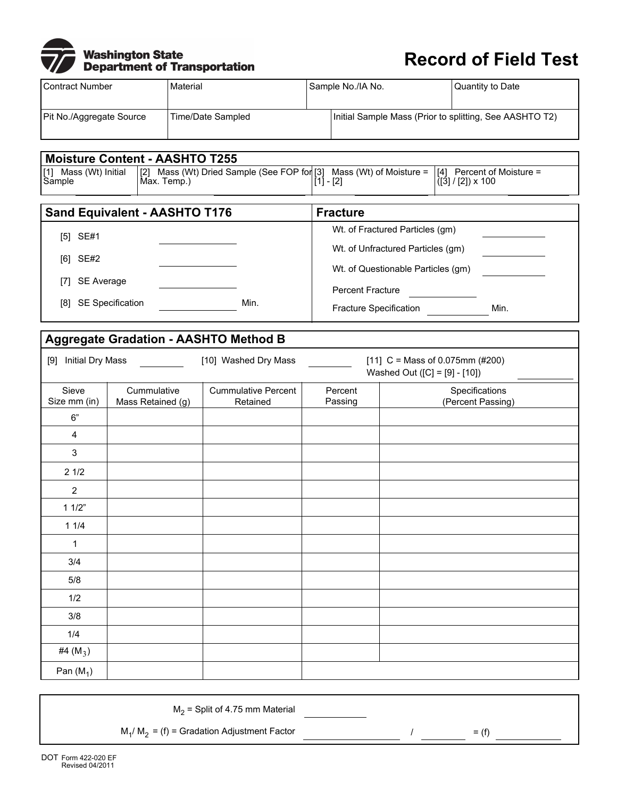|           | <b>Washington State</b>             |
|-----------|-------------------------------------|
| <b>VD</b> | <b>Department of Transportation</b> |

## **Record of Field Test**

| I Contract Number        | Material          | Sample No./IA No. |                                                         | Quantity to Date |  |  |
|--------------------------|-------------------|-------------------|---------------------------------------------------------|------------------|--|--|
|                          |                   |                   |                                                         |                  |  |  |
| Pit No./Aggregate Source | Time/Date Sampled |                   | Initial Sample Mass (Prior to splitting, See AASHTO T2) |                  |  |  |
|                          |                   |                   |                                                         |                  |  |  |

**Fracture**

Wt. of Fractured Particles (gm) Wt. of Unfractured Particles (gm)

Wt. of Questionable Particles (gm)

Fracture Specification Min.

Percent Fracture

## **Moisture Content - AASHTO T255**

[1] Mass (Wt) Initial Sample

[2] Mass (Wt) Dried Sample (See FOP for Max. Temp.) [3] Mass (Wt) of Moisture = [1] - [2]

[4] Percent of Moisture = ([3] / [2]) x 100

## **Sand Equivalent - AASHTO T176** [5] SE#1 [6] SE#2

[7] SE Average

[8] SE Specification Min.

## **Aggregate Gradation - AASHTO Method B**

| <b>Initial Dry Mass</b><br>[9] |                                  | [10] Washed Dry Mass                   |                    | [11] C = Mass of 0.075mm (#200)<br>Washed Out ([C] = [9] - [10]) |  |  |
|--------------------------------|----------------------------------|----------------------------------------|--------------------|------------------------------------------------------------------|--|--|
| Sieve<br>Size mm (in)          | Cummulative<br>Mass Retained (g) | <b>Cummulative Percent</b><br>Retained | Percent<br>Passing | Specifications<br>(Percent Passing)                              |  |  |
| $6"$                           |                                  |                                        |                    |                                                                  |  |  |
| 4                              |                                  |                                        |                    |                                                                  |  |  |
| $\mathfrak{S}$                 |                                  |                                        |                    |                                                                  |  |  |
| 21/2                           |                                  |                                        |                    |                                                                  |  |  |
| $\overline{2}$                 |                                  |                                        |                    |                                                                  |  |  |
| 11/2"                          |                                  |                                        |                    |                                                                  |  |  |
| 11/4                           |                                  |                                        |                    |                                                                  |  |  |
| 1                              |                                  |                                        |                    |                                                                  |  |  |
| 3/4                            |                                  |                                        |                    |                                                                  |  |  |
| $5/8$                          |                                  |                                        |                    |                                                                  |  |  |
| 1/2                            |                                  |                                        |                    |                                                                  |  |  |
| 3/8                            |                                  |                                        |                    |                                                                  |  |  |
| 1/4                            |                                  |                                        |                    |                                                                  |  |  |
| #4 $(M_3)$                     |                                  |                                        |                    |                                                                  |  |  |
| Pan $(M_1)$                    |                                  |                                        |                    |                                                                  |  |  |

 $M<sub>2</sub>$  = Split of 4.75 mm Material

 $M_1/M_2 = (f)$  = Gradation Adjustment Factor  $M_1/M_2 = (f)$